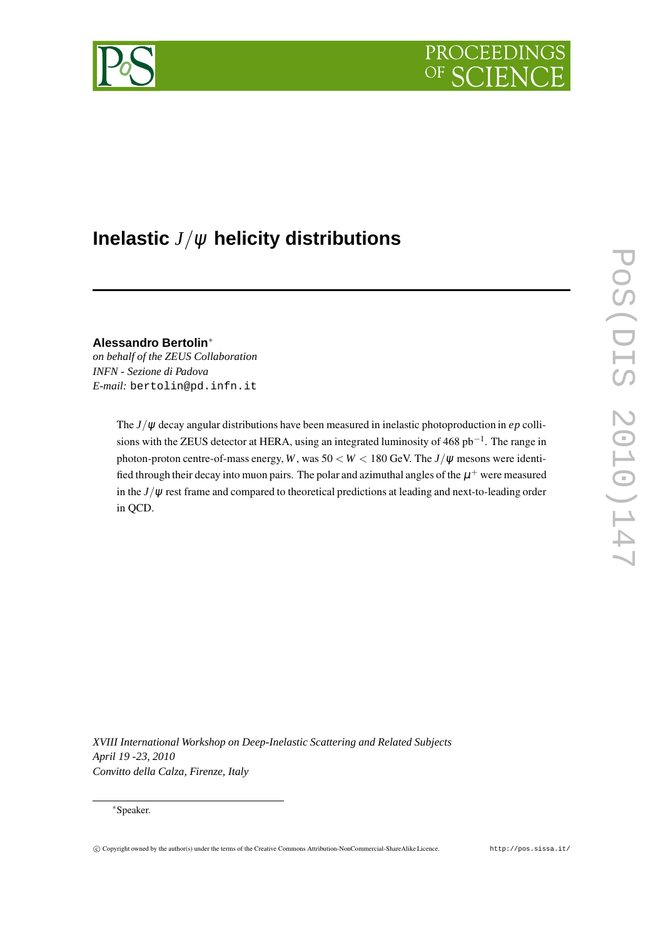



# **Inelastic** *J*/<sup>ψ</sup> **helicity distributions**

**Alessandro Bertolin**<sup>∗</sup> *on behalf of the ZEUS Collaboration INFN - Sezione di Padova E-mail:* bertolin@pd.infn.it

> The *J*/<sup>ψ</sup> decay angular distributions have been measured in inelastic photoproduction in *ep* collisions with the ZEUS detector at HERA, using an integrated luminosity of 468 pb<sup>-1</sup>. The range in photon-proton centre-of-mass energy, *W*, was  $50 < W < 180$  GeV. The *J*/ $\psi$  mesons were identified through their decay into muon pairs. The polar and azimuthal angles of the  $\mu^+$  were measured in the *J*/<sup>ψ</sup> rest frame and compared to theoretical predictions at leading and next-to-leading order in QCD.

*XVIII International Workshop on Deep-Inelastic Scattering and Related Subjects April 19 -23, 2010 Convitto della Calza, Firenze, Italy*

# <sup>∗</sup>Speaker.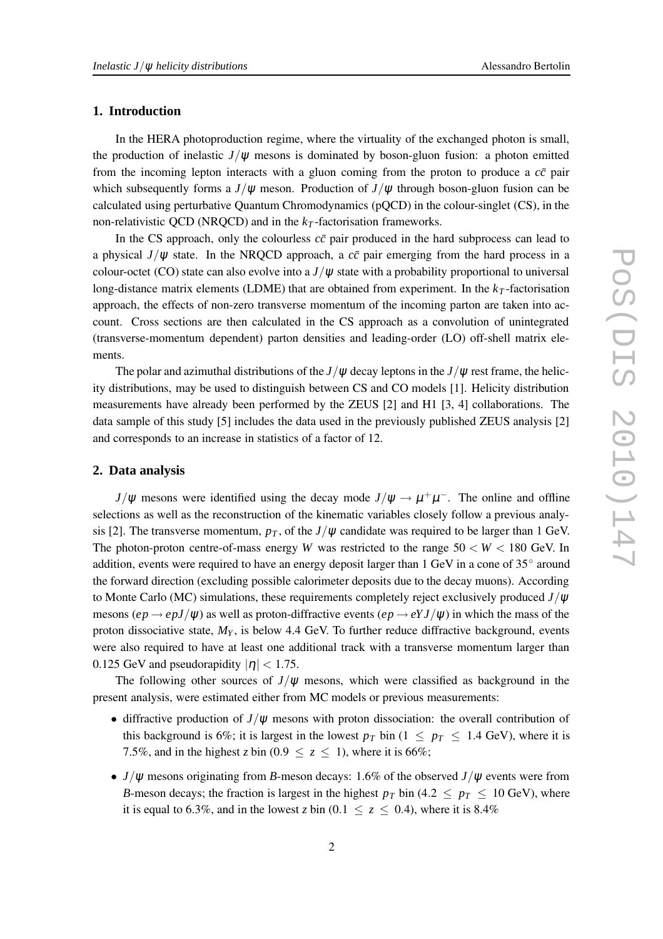# **1. Introduction**

In the HERA photoproduction regime, where the virtuality of the exchanged photon is small, the production of inelastic  $J/\psi$  mesons is dominated by boson-gluon fusion: a photon emitted from the incoming lepton interacts with a gluon coming from the proton to produce a  $c\bar{c}$  pair which subsequently forms a  $J/\psi$  meson. Production of  $J/\psi$  through boson-gluon fusion can be calculated using perturbative Quantum Chromodynamics (pQCD) in the colour-singlet (CS), in the non-relativistic QCD (NRQCD) and in the  $k<sub>T</sub>$ -factorisation frameworks.

In the CS approach, only the colourless  $c\bar{c}$  pair produced in the hard subprocess can lead to a physical  $J/\psi$  state. In the NRQCD approach, a  $c\bar{c}$  pair emerging from the hard process in a colour-octet (CO) state can also evolve into a  $J/\psi$  state with a probability proportional to universal long-distance matrix elements (LDME) that are obtained from experiment. In the  $k<sub>T</sub>$ -factorisation approach, the effects of non-zero transverse momentum of the incoming parton are taken into account. Cross sections are then calculated in the CS approach as a convolution of unintegrated (transverse-momentum dependent) parton densities and leading-order (LO) off-shell matrix elements.

The polar and azimuthal distributions of the  $J/\psi$  decay leptons in the  $J/\psi$  rest frame, the helicity distributions, may be used to distinguish between CS and CO models [1]. Helicity distribution measurements have already been performed by the ZEUS [2] and H1 [3, 4] collaborations. The data sample of this study [5] includes the data used in the previously published ZEUS analysis [2] and corresponds to an increase in statistics of a factor of 12.

# **2. Data analysis**

 $J/\psi$  mesons were identified using the decay mode  $J/\psi \rightarrow \mu^+\mu^-$ . The online and offline selections as well as the reconstruction of the kinematic variables closely follow a previous analysis [2]. The transverse momentum,  $p<sub>T</sub>$ , of the  $J/\psi$  candidate was required to be larger than 1 GeV. The photon-proton centre-of-mass energy *W* was restricted to the range  $50 < W < 180$  GeV. In addition, events were required to have an energy deposit larger than 1 GeV in a cone of 35° around the forward direction (excluding possible calorimeter deposits due to the decay muons). According to Monte Carlo (MC) simulations, these requirements completely reject exclusively produced *J*/<sup>ψ</sup> mesons  $(ep \rightarrow e pJ/\psi)$  as well as proton-diffractive events  $(ep \rightarrow e YJ/\psi)$  in which the mass of the proton dissociative state,  $M_Y$ , is below 4.4 GeV. To further reduce diffractive background, events were also required to have at least one additional track with a transverse momentum larger than 0.125 GeV and pseudorapidity  $|\eta|$  < 1.75.

The following other sources of  $J/\psi$  mesons, which were classified as background in the present analysis, were estimated either from MC models or previous measurements:

- diffractive production of  $J/\psi$  mesons with proton dissociation: the overall contribution of this background is 6%; it is largest in the lowest  $p_T$  bin (1  $\leq p_T \leq 1.4$  GeV), where it is 7.5%, and in the highest *z* bin (0.9  $\le z \le 1$ ), where it is 66%;
- *J*/<sup>ψ</sup> mesons originating from *B*-meson decays: 1.6% of the observed *J*/<sup>ψ</sup> events were from *B*-meson decays; the fraction is largest in the highest  $p_T$  bin (4.2  $\leq p_T \leq 10$  GeV), where it is equal to 6.3%, and in the lowest *z* bin (0.1  $\le z \le 0.4$ ), where it is 8.4%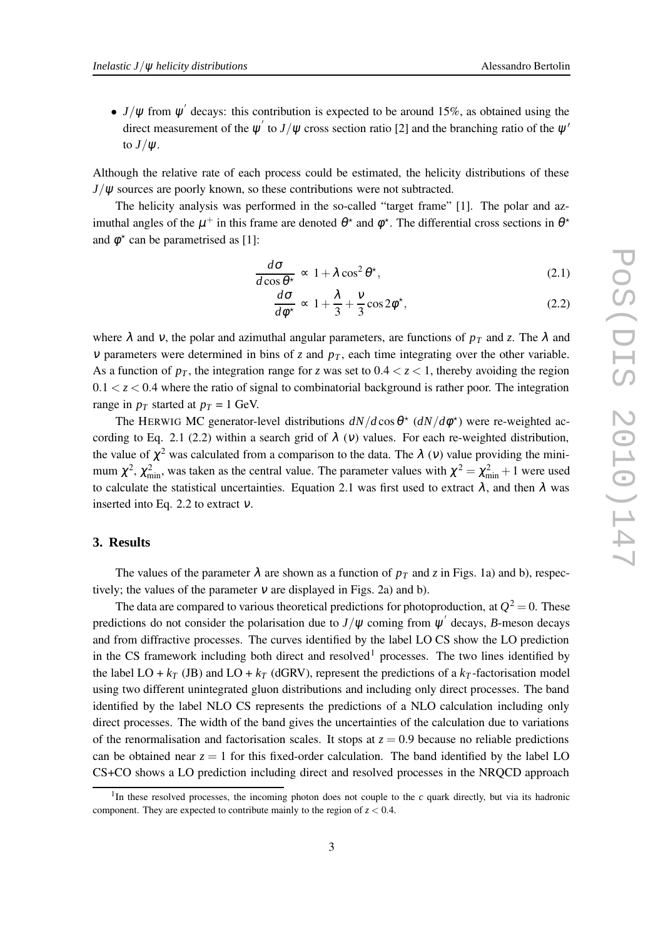•  $J/\psi$  from  $\psi'$  decays: this contribution is expected to be around 15%, as obtained using the direct measurement of the  $\psi'$  to  $J/\psi$  cross section ratio [2] and the branching ratio of the  $\psi'$ to  $J/\psi$ .

Although the relative rate of each process could be estimated, the helicity distributions of these  $J/\psi$  sources are poorly known, so these contributions were not subtracted.

The helicity analysis was performed in the so-called "target frame" [1]. The polar and azimuthal angles of the  $\mu^+$  in this frame are denoted  $\theta^*$  and  $\phi^*$ . The differential cross sections in  $\theta^*$ and  $\phi^*$  can be parametrised as [1]:

$$
\frac{d\sigma}{d\cos\theta^*} \propto 1 + \lambda \cos^2\theta^*,\tag{2.1}
$$

$$
\frac{d\sigma}{d\phi^*} \propto 1 + \frac{\lambda}{3} + \frac{v}{3}\cos 2\phi^*,\tag{2.2}
$$

where  $\lambda$  and v, the polar and azimuthal angular parameters, are functions of  $p_T$  and *z*. The  $\lambda$  and *v* parameters were determined in bins of *z* and  $p<sub>T</sub>$ , each time integrating over the other variable. As a function of  $p<sub>T</sub>$ , the integration range for *z* was set to  $0.4 < z < 1$ , thereby avoiding the region  $0.1 < z < 0.4$  where the ratio of signal to combinatorial background is rather poor. The integration range in  $p_T$  started at  $p_T = 1$  GeV.

The HERWIG MC generator-level distributions  $dN/d\cos\theta^*$  ( $dN/d\phi^*$ ) were re-weighted according to Eq. 2.1 (2.2) within a search grid of  $\lambda$  (v) values. For each re-weighted distribution, the value of  $\chi^2$  was calculated from a comparison to the data. The  $\lambda$  (v) value providing the minimum  $\chi^2$ ,  $\chi^2_{\rm min}$ , was taken as the central value. The parameter values with  $\chi^2 = \chi^2_{\rm min} + 1$  were used to calculate the statistical uncertainties. Equation 2.1 was first used to extract  $\lambda$ , and then  $\lambda$  was inserted into Eq. 2.2 to extract  $v$ .

#### **3. Results**

The values of the parameter  $\lambda$  are shown as a function of  $p<sub>T</sub>$  and *z* in Figs. 1a) and b), respectively; the values of the parameter  $v$  are displayed in Figs. 2a) and b).

The data are compared to various theoretical predictions for photoproduction, at  $Q^2 = 0$ . These predictions do not consider the polarisation due to  $J/\psi$  coming from  $\psi'$  decays, *B*-meson decays and from diffractive processes. The curves identified by the label LO CS show the LO prediction in the CS framework including both direct and resolved<sup>1</sup> processes. The two lines identified by the label LO +  $k_T$  (JB) and LO +  $k_T$  (dGRV), represent the predictions of a  $k_T$ -factorisation model using two different unintegrated gluon distributions and including only direct processes. The band identified by the label NLO CS represents the predictions of a NLO calculation including only direct processes. The width of the band gives the uncertainties of the calculation due to variations of the renormalisation and factorisation scales. It stops at  $z = 0.9$  because no reliable predictions can be obtained near  $z = 1$  for this fixed-order calculation. The band identified by the label LO CS+CO shows a LO prediction including direct and resolved processes in the NRQCD approach

<sup>&</sup>lt;sup>1</sup>In these resolved processes, the incoming photon does not couple to the  $c$  quark directly, but via its hadronic component. They are expected to contribute mainly to the region of  $z < 0.4$ .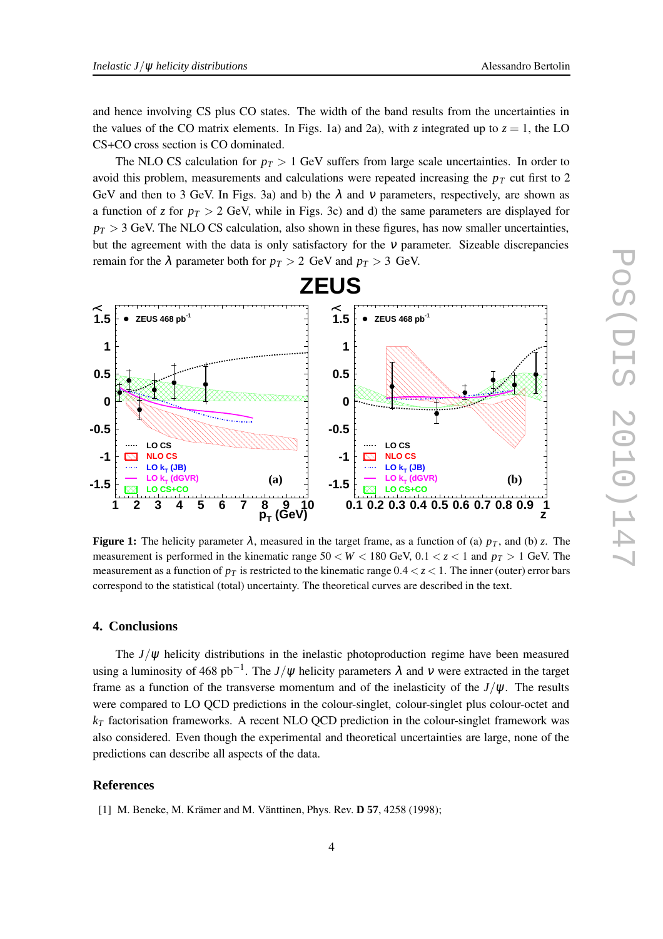CS+CO cross section is CO dominated.

The NLO CS calculation for  $p_T > 1$  GeV suffers from large scale uncertainties. In order to avoid this problem, measurements and calculations were repeated increasing the  $p<sub>T</sub>$  cut first to 2 GeV and then to 3 GeV. In Figs. 3a) and b) the  $\lambda$  and  $\nu$  parameters, respectively, are shown as a function of *z* for  $p_T > 2$  GeV, while in Figs. 3c) and d) the same parameters are displayed for  $p_T > 3$  GeV. The NLO CS calculation, also shown in these figures, has now smaller uncertainties, but the agreement with the data is only satisfactory for the <sup>ν</sup> parameter. Sizeable discrepancies remain for the  $\lambda$  parameter both for  $p_T > 2$  GeV and  $p_T > 3$  GeV.



**Figure 1:** The helicity parameter  $\lambda$ , measured in the target frame, as a function of (a)  $p_T$ , and (b) *z*. The measurement is performed in the kinematic range  $50 < W < 180$  GeV,  $0.1 < z < 1$  and  $p<sub>T</sub> > 1$  GeV. The measurement as a function of  $p<sub>T</sub>$  is restricted to the kinematic range  $0.4 < z < 1$ . The inner (outer) error bars correspond to the statistical (total) uncertainty. The theoretical curves are described in the text.

# **4. Conclusions**

The  $J/\psi$  helicity distributions in the inelastic photoproduction regime have been measured using a luminosity of 468 pb<sup>-1</sup>. The *J*/ $\psi$  helicity parameters  $\lambda$  and  $\nu$  were extracted in the target frame as a function of the transverse momentum and of the inelasticity of the  $J/\psi$ . The results were compared to LO QCD predictions in the colour-singlet, colour-singlet plus colour-octet and *k<sup>T</sup>* factorisation frameworks. A recent NLO QCD prediction in the colour-singlet framework was also considered. Even though the experimental and theoretical uncertainties are large, none of the predictions can describe all aspects of the data.

## **References**

[1] M. Beneke, M. Krämer and M. Vänttinen, Phys. Rev. **D 57**, 4258 (1998);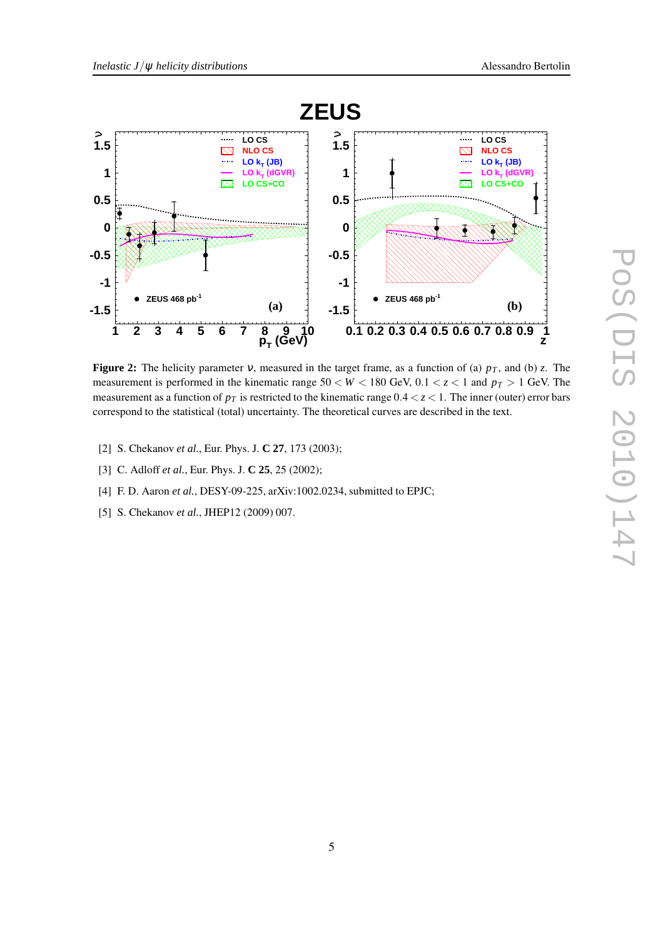

**Figure 2:** The helicity parameter <sup>ν</sup>, measured in the target frame, as a function of (a) *p<sup>T</sup>* , and (b) *z*. The measurement is performed in the kinematic range 50 < *W* < 180 GeV, 0.1 < *z* < 1 and *p<sup>T</sup>* > 1 GeV. The measurement as a function of  $p<sub>T</sub>$  is restricted to the kinematic range  $0.4 < z < 1$ . The inner (outer) error bars correspond to the statistical (total) uncertainty. The theoretical curves are described in the text.

- [2] S. Chekanov *et al.*, Eur. Phys. J. **C 27**, 173 (2003);
- [3] C. Adloff *et al.*, Eur. Phys. J. **C 25**, 25 (2002);
- [4] F. D. Aaron *et al.*, DESY-09-225, arXiv:1002.0234, submitted to EPJC;
- [5] S. Chekanov *et al.*, JHEP12 (2009) 007.